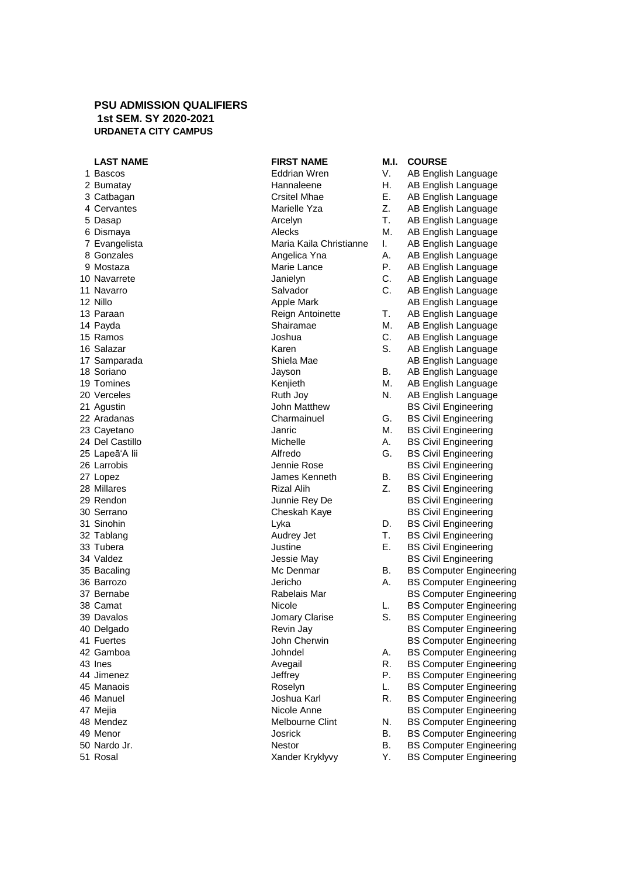## **PSU ADMISSION QUALIFIERS 1st SEM. SY 2020-2021 URDANETA CITY CAMPUS**

| 1  | Bascos                 |
|----|------------------------|
| 2  | Bumatay                |
| 3  | Catbagan               |
| 4  | Cervantes              |
| 5  | Dasap                  |
| 6  | Dismaya                |
| 7  | Evangelista            |
| 8  | Gonzales               |
| 9  | Mostaza                |
| 10 | Navarrete              |
| 11 | Navarro                |
| 12 | Nillo                  |
|    | 13 Paraan              |
|    | 14 Payda               |
|    | 15 Ramos               |
|    | 16 Salazar             |
|    | 17 Samparada           |
|    | 18 Soriano             |
| 19 | Tomines                |
| 20 | Verceles               |
| 21 | Agustin                |
| 22 | Aradanas               |
|    | 23 Cayetano            |
| 24 | Del Castillo           |
|    | 25 Lapeã'A lii         |
| 26 | Larrobis               |
|    | 27 Lopez               |
| 28 | Millares               |
|    | 29 Rendon              |
|    | 30 Serrano             |
|    | 31 Sinohin             |
|    | 32 Tablang             |
| 33 |                        |
|    | Tubera                 |
| 34 | Valdez                 |
| 35 | Bacaling<br>36 Barrozo |
|    |                        |
| 37 | Bernabe                |
| 38 | Camat                  |
|    | 39 Davalos             |
| 40 | Delgado                |
| 41 | <b>Fuertes</b>         |
| 42 | Gamboa                 |
| 43 | Ines                   |
| 44 | Jimenez                |
|    | 45 Manaois             |
|    | 46 Manuel              |
|    | 47 Mejia               |
| 48 | Mendez                 |
| 49 | Menor                  |
| 50 | Nardo Jr.              |
| 51 | Rosal                  |

| INJI INAME              | IVI.I. | ๛๛๛                            |
|-------------------------|--------|--------------------------------|
| <b>Eddrian Wren</b>     | V.     | AB English Language            |
| Hannaleene              | Η.     | AB English Language            |
| Crsitel Mhae            | Е.     | AB English Language            |
| Marielle Yza            | Z.     | AB English Language            |
| Arcelyn                 | Τ.     | AB English Language            |
| Alecks                  | М.     | AB English Language            |
| Maria Kaila Christianne | I.     | AB English Language            |
| Angelica Yna            | A.     | AB English Language            |
| Marie Lance             | Р.     | AB English Language            |
| Janielyn                | C.     | AB English Language            |
| Salvador                | C.     | AB English Language            |
| Apple Mark              |        | AB English Language            |
| Reign Antoinette        | Τ.     | AB English Language            |
| Shairamae               | М.     | AB English Language            |
| Joshua                  | C.     | AB English Language            |
| Karen                   | S.     | AB English Language            |
| Shiela Mae              |        | AB English Language            |
| Jayson                  | В.     | AB English Language            |
| Kenjieth                | М.     | AB English Language            |
| Ruth Joy                | N.     | AB English Language            |
| John Matthew            |        | <b>BS Civil Engineering</b>    |
| Charmainuel             | G.     | <b>BS Civil Engineering</b>    |
| Janric                  | М.     | <b>BS Civil Engineering</b>    |
| Michelle                | А.     |                                |
| Alfredo                 | G.     | <b>BS Civil Engineering</b>    |
|                         |        | <b>BS Civil Engineering</b>    |
| Jennie Rose             |        | <b>BS Civil Engineering</b>    |
| James Kenneth           | В.     | <b>BS Civil Engineering</b>    |
| Rizal Alih              | Z.     | <b>BS Civil Engineering</b>    |
| Junnie Rey De           |        | <b>BS Civil Engineering</b>    |
| Cheskah Kaye            |        | <b>BS Civil Engineering</b>    |
| Lyka                    | D.     | <b>BS Civil Engineering</b>    |
| Audrey Jet              | Τ.     | <b>BS Civil Engineering</b>    |
| Justine                 | Е.     | <b>BS Civil Engineering</b>    |
| Jessie May              |        | <b>BS Civil Engineering</b>    |
| Mc Denmar               | В.     | <b>BS Computer Engineering</b> |
| Jericho                 | А.     | <b>BS Computer Engineering</b> |
| Rabelais Mar            |        | <b>BS Computer Engineering</b> |
| Nicole                  | L.     | <b>BS Computer Engineering</b> |
| Jomary Clarise          | S.     | <b>BS Computer Engineering</b> |
| Revin Jay               |        | <b>BS Computer Engineering</b> |
| John Cherwin            |        | <b>BS Computer Engineering</b> |
| Johndel                 | А.     | <b>BS Computer Engineering</b> |
| Avegail                 | R.     | <b>BS Computer Engineering</b> |
| Jeffrey                 | Р.     | <b>BS Computer Engineering</b> |
| Roselyn                 | L.     | <b>BS Computer Engineering</b> |
| Joshua Karl             | R.     | <b>BS Computer Engineering</b> |
| Nicole Anne             |        | <b>BS Computer Engineering</b> |
| Melbourne Clint         | N.     | <b>BS Computer Engineering</b> |
| Josrick                 | Β.     | <b>BS Computer Engineering</b> |
| <b>Nestor</b>           | В.     | <b>BS Computer Engineering</b> |
| Xander Kryklyvy         | Υ.     | <b>BS Computer Engineering</b> |

**LAST NAME FIRST NAME M.I. COURSE**

| 1 Bascos        | <b>Eddrian Wren</b>     | V.        | AB English Language            |
|-----------------|-------------------------|-----------|--------------------------------|
| 2 Bumatay       | Hannaleene              | Η.        | AB English Language            |
| 3 Catbagan      | Crsitel Mhae            | Ε.        | AB English Language            |
| 4 Cervantes     | Marielle Yza            | Z.        | AB English Language            |
| 5 Dasap         | Arcelyn                 | Т.        | AB English Language            |
| 6 Dismaya       | Alecks                  | М.        | AB English Language            |
| 7 Evangelista   | Maria Kaila Christianne | I.        | AB English Language            |
| 8 Gonzales      | Angelica Yna            | А.        | AB English Language            |
| 9 Mostaza       | Marie Lance             | Ρ.        | AB English Language            |
| 10 Navarrete    | Janielyn                | С.        | AB English Language            |
| 11 Navarro      | Salvador                | C.        | AB English Language            |
| 12 Nillo        | Apple Mark              |           | AB English Language            |
| 13 Paraan       | Reign Antoinette        | Т.        | AB English Language            |
| 14 Payda        | Shairamae               | М.        | AB English Language            |
| 15 Ramos        | Joshua                  | С.        | AB English Language            |
| 16 Salazar      | Karen                   | S.        | AB English Language            |
| 17 Samparada    | Shiela Mae              |           | AB English Language            |
| 18 Soriano      | Jayson                  | В.        | AB English Language            |
| 19 Tomines      | Kenjieth                | М.        | AB English Language            |
| 20 Verceles     | Ruth Joy                | N.        | AB English Language            |
| 21 Agustin      | John Matthew            |           | <b>BS Civil Engineering</b>    |
| 22 Aradanas     | Charmainuel             | G.        | <b>BS Civil Engineering</b>    |
| 23 Cayetano     | Janric                  | М.        | <b>BS Civil Engineering</b>    |
| 24 Del Castillo | Michelle                | Α.        | <b>BS Civil Engineering</b>    |
| 25 Lapeã'A lii  | Alfredo                 | G.        | <b>BS Civil Engineering</b>    |
| 26 Larrobis     | Jennie Rose             |           | <b>BS Civil Engineering</b>    |
| 27 Lopez        | James Kenneth           | В.        | <b>BS Civil Engineering</b>    |
| 28 Millares     | <b>Rizal Alih</b>       | Z.        | <b>BS Civil Engineering</b>    |
| 29 Rendon       | Junnie Rey De           |           | <b>BS Civil Engineering</b>    |
| 30 Serrano      | Cheskah Kaye            |           | <b>BS Civil Engineering</b>    |
| 31 Sinohin      | Lyka                    | D.        | <b>BS Civil Engineering</b>    |
| 32 Tablang      | Audrey Jet              | Т.        | <b>BS Civil Engineering</b>    |
| 33 Tubera       | Justine                 | Е.        | <b>BS Civil Engineering</b>    |
| 34 Valdez       | Jessie May              |           | <b>BS Civil Engineering</b>    |
| 35 Bacaling     | Mc Denmar               | В.        | <b>BS Computer Engineering</b> |
| 36 Barrozo      | Jericho                 | Α.        | <b>BS Computer Engineering</b> |
| 37 Bernabe      | Rabelais Mar            |           | <b>BS Computer Engineering</b> |
| 38 Camat        | Nicole                  | L.        | <b>BS Computer Engineering</b> |
| 39 Davalos      | Jomary Clarise          | S.        | <b>BS Computer Engineering</b> |
| 40 Delgado      | Revin Jay               |           | <b>BS Computer Engineering</b> |
| 41 Fuertes      | John Cherwin            |           | <b>BS Computer Engineering</b> |
| 42 Gamboa       | Johndel                 | А.        | <b>BS Computer Engineering</b> |
| 43 Ines         | Avegail                 | R.        | <b>BS Computer Engineering</b> |
| 44 Jimenez      | Jeffrey                 | Р.        | <b>BS Computer Engineering</b> |
| 45 Manaois      | Roselyn                 | L.        | <b>BS Computer Engineering</b> |
| 46 Manuel       | Joshua Karl             | R.        | <b>BS Computer Engineering</b> |
| 47 Mejia        | Nicole Anne             |           | <b>BS Computer Engineering</b> |
| 48 Mendez       | Melbourne Clint         | N.        | <b>BS Computer Engineering</b> |
| 49 Menor        | Josrick                 | В.        | <b>BS Computer Engineering</b> |
| 50 Nardo Jr.    | Nestor                  | <b>B.</b> | <b>BS Computer Engineering</b> |
|                 |                         |           |                                |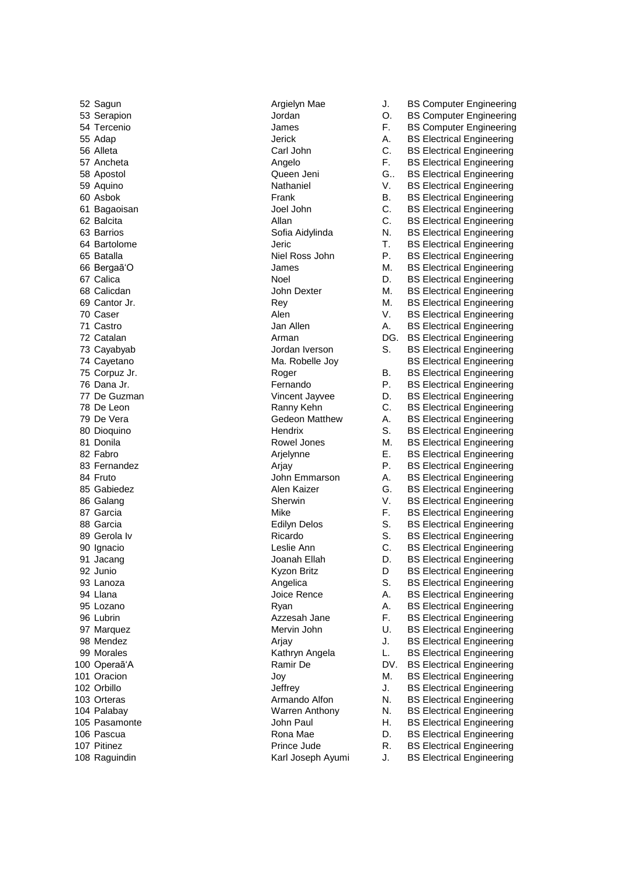92 Junio **Kyzon Britz** 

52 Sagun Argielyn Mae J. BS Computer Engineering 53 Serapion Jordan O. BS Computer Engineering 54 Tercenio James F. BS Computer Engineering 55 Adap Jerick A. BS Electrical Engineering 56 Alleta Carl John C. BS Electrical Engineering 57 Ancheta **Angelo** Angelo **F. BS Electrical Engineering F.** Angelo 58 Apostol Queen Jeni G.. BS Electrical Engineering 59 Aquino **Nathaniel V. BS Electrical Engineering** V. PO Aquino 60 Asbok Frank B. BS Electrical Engineering 61 Bagaoisan Joel John C. BS Electrical Engineering 62 Balcita **Allan** Allan C. BS Electrical Engineering 63 Barrios Sofia Aidylinda N. BS Electrical Engineering 64 Bartolome Jeric T. BS Electrical Engineering 65 Batalla Niel Ross John P. BS Electrical Engineering 66 Bergaã'O James M. BS Electrical Engineering 67 Calica **Noel** Noel D. BS Electrical Engineering 68 Calicdan **M. BS Electrical Engineering** John Dexter **M. BS Electrical Engineering** 69 Cantor Jr. **Rey Strategy** M. BS Electrical Engineering 70 Caser **Alen** Alen **V.** BS Electrical Engineering 71 Castro **Castro Castro A. BS Electrical Engineering** Jan Allen A. BS Electrical Engineering 72 Catalan **Arman** Arman DG. BS Electrical Engineering 73 Cayabyab Jordan Iverson S. BS Electrical Engineering 74 Cayetano **Ma. Robelle Joy** BS Electrical Engineering<br>75 Corpuz Jr. **Ma. Roger** B. BS Electrical Engineering Roger B. BS Electrical Engineering 76 Dana Jr. Fernando P. BS Electrical Engineering 77 De Guzman Vincent Jayvee D. BS Electrical Engineering 78 De Leon Ranny Kehn C. BS Electrical Engineering 79 De Vera Gedeon Matthew A. BS Electrical Engineering 80 Dioquino **Hendrix** Hendrix S. BS Electrical Engineering 81 Donila **Rowel Jones M. BS Electrical Engineering** Rowel Jones M. BS Electrical Engineering 82 Fabro **Arjelynne** E. BS Electrical Engineering 83 Fernandez **Arjay Argy Renault Argy Renault Engineering** P. BS Electrical Engineering 84 Fruto **A.** BS Electrical Engineering John Emmarson A. BS Electrical Engineering 85 Gabiedez **Alen Kaizer** G. BS Electrical Engineering 86 Galang **Sherwin** Sherwin V. BS Electrical Engineering 87 Garcia **F.** BS Electrical Engineering 88 Garcia **Edilyn Delos** S. BS Electrical Engineering 89 Gerola Iv **Ricardo** Ricardo **S. BS Electrical Engineering** 90 Ignacio Leslie Ann C. BS Electrical Engineering 91 Jacang **Joanah Ellah D. BS Electrical Engineering** D BS Electrical Engineering 93 Lanoza **Angelica** S. BS Electrical Engineering 94 Llana **A.** BS Electrical Engineering Joice Rence A. BS Electrical Engineering 95 Lozano **Ryan** Ryan A. BS Electrical Engineering 96 Lubrin **Azzesah Jane** F. BS Electrical Engineering 97 Marquez **Mervin John U. BS Electrical Engineering** 98 Mendez **Arjay** Arjay J. BS Electrical Engineering 99 Morales **Kathryn Angela** L. BS Electrical Engineering 100 Operaã'A Ramir De DV. BS Electrical Engineering 101 Oracion **M. BS Electrical Engineering** Joy **M. BS Electrical Engineering** 102 Orbillo **102 Orbillo** Jeffrey J. BS Electrical Engineering 103 Orteras **Armando Alfon** N. BS Electrical Engineering 104 Palabay **N. B. 2018** Warren Anthony **N. B. B. Electrical Engineering** 105 Pasamonte John Paul H. BS Electrical Engineering 106 Pascua **Rona Mae C. B. B. B. Electrical Engineering** C. B. B. B. Electrical Engineering 107 Pitinez **Prince Jude R. BS Electrical Engineering** R. BS Electrical Engineering 108 Raguindin Karl Joseph Ayumi J. BS Electrical Engineering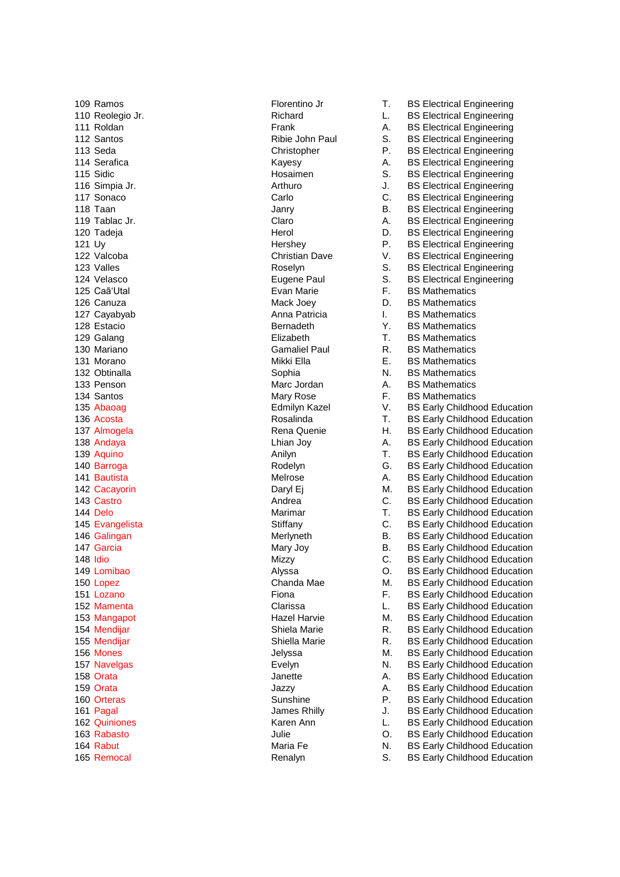109 Ramos **Florentino Jr** Florentino Jr T. BS Electrical Engineering 110 Reolegio Jr. Richard L. BS Electrical Engineering 111 Roldan **Frank** Frank A. BS Electrical Engineering 112 Santos **Ribie John Paul S. BS Electrical Engineering** S. BS Electrical Engineering 113 Seda **Christopher** P. BS Electrical Engineering 114 Serafica **A.** BS Electrical Engineering Kayesy **A.** BS Electrical Engineering 115 Sidic **S. B. Electrical Engineering** Hosaimen S. BS Electrical Engineering 116 Simpia Jr. **Arthuro** Arthuro **J. BS Electrical Engineering** 316 Simpia Jr. **BS** Electrical Engineering 117 Sonaco Carlo C. BS Electrical Engineering 118 Taan **Janry B. BS Electrical Engineering B. BS Electrical Engineering** 119 Tablac Jr. **Claro** Claro **A. BS Electrical Engineering** Claro **A.** BS Electrical Engineering 120 Tadeja **Herol** Herol D. BS Electrical Engineering 121 Uy 121 Uy 122 Valcoba 122 Valcoba 122 Valcoba 122 Valcoba 122 Valcoba 122 Valcoba 122 Valcoba 122 Valcoba 122 Valcoba Christian Dave V. BS Electrical Engineering 123 Valles **Note 20 Exercise S. A. S. A. S. E. S. E. S. E. S. E. E. E. S. E. S. E. S. E. E. E. S. E. S. E. E.** C<br>Tugene Paul S. BS Electrical Engineering Eugene Paul S. BS Electrical Engineering 125 Caã'Utal Evan Marie F. BS Mathematics 126 Canuza **Mack Joey** D. BS Mathematics **Mack Joey** D. BS Mathematics 127 Cayabyab **Anna Patricia** I. BS Mathematics **I.** BS Mathematics 128 Estacio Bernadeth Y. BS Mathematics 129 Galang **Elizabeth 129 Galang Elizabeth** T. BS Mathematics<br>130 Mariano **Camaliel Paul R. BS Mathematics** Gamaliel Paul **R.** BS Mathematics 131 Morano **Mikki Ella** E. BS Mathematics 132 Obtinalla 132 Obtinalla 133 Penson 133 Penson 134 December 133 Penson 134 December 134 December 134 December 134 December 134 December 134 December 134 December 134 December 134 December 134 December 134 December 134 D 133 Penson Marc Jordan A. BS Mathematics Mary Rose F. BS Mathematics 135 Abaoag Edmilyn Kazel V. BS Early Childhood Education 136 Acosta Rosalinda T. BS Early Childhood Education 137 Almogela 137 Almogela Rena Quenie H. BS Early Childhood Education<br>138 Andava 138 Andava Education Lhian Jov A. BS Early Childhood Education 138 Andaya **A. B. Early Childhood Education** Lhian Joy **A. B. B. Early Childhood Education** 139 Aquino Anilyn T. BS Early Childhood Education 140 Barroga **Rodelyn** Rodelyn G. BS Early Childhood Education 141 Bautista **Melrose** Melrose **A. BS Early Childhood Education** 142 Cacayorin **Cacayorin Cacayorin Cacayorin** Daryl Ej M. BS Early Childhood Education 143 Castro **C. BS Early Childhood Education** Andrea C. BS Early Childhood Education 144 Delo **Marimar** Marimar **T.** BS Early Childhood Education 145 Evangelista **Stiffany** Stiffany C. BS Early Childhood Education C. BS Early Childhood Education 146 Galingan **Merlyneth B. BS Early Childhood Education** B. BS Early Childhood Education 147 Garcia **Mary Joy B. BS Early Childhood Education** Mary Joy B. BS Early Childhood Education 148 Idio **Mizzy** C. BS Early Childhood Education **Mizzy** C. BS Early Childhood Education 149 Lomibao Alyssa O. BS Early Childhood Education 150 Lopez **Chanda Mae M. BS Early Childhood Education** Chanda Mae M. BS Early Childhood Education 151 Lozano **F. B. Early Childhood Education** F. B. B. Early Childhood Education 152 Mamenta **Clarissa** Clarissa L. BS Early Childhood Education 153 Mangapot **Hazel Harvie M. BS Early Childhood Education** Hazel Harvie M. BS Early Childhood Education 154 Mendijar **Shiela Marie R. BS Early Childhood Education** Shiela Marie R. BS Early Childhood Education 155 Mendijar Shiella Marie R. BS Early Childhood Education R. BS Early Childhood Education 156 Mones **M. B. Early Childhood Education** Jelyssa M. BS Early Childhood Education 157 Navelgas **Evelyn** Evelyn N. BS Early Childhood Education 158 Orata **Janette** Janette **A. BS Early Childhood Education** 159 Orata **Jazzy** Jazzy **A. BS Early Childhood Education** 160 Orteras **Sunshine** P. BS Early Childhood Education **P. BS Early Childhood Education** 161 Pagal **Pagal James Rhilly** J. BS Early Childhood Education 162 Quiniones **Karen Ann** L. BS Early Childhood Education Caren Ann L. BS Early Childhood Education 163 Rabasto Julie O. BS Early Childhood Education 164 Rabut **Maria Fe N. BS Early Childhood Education** Maria Fe N. BS Early Childhood Education 165 Remocal **Renalyn** Renalyn S. BS Early Childhood Education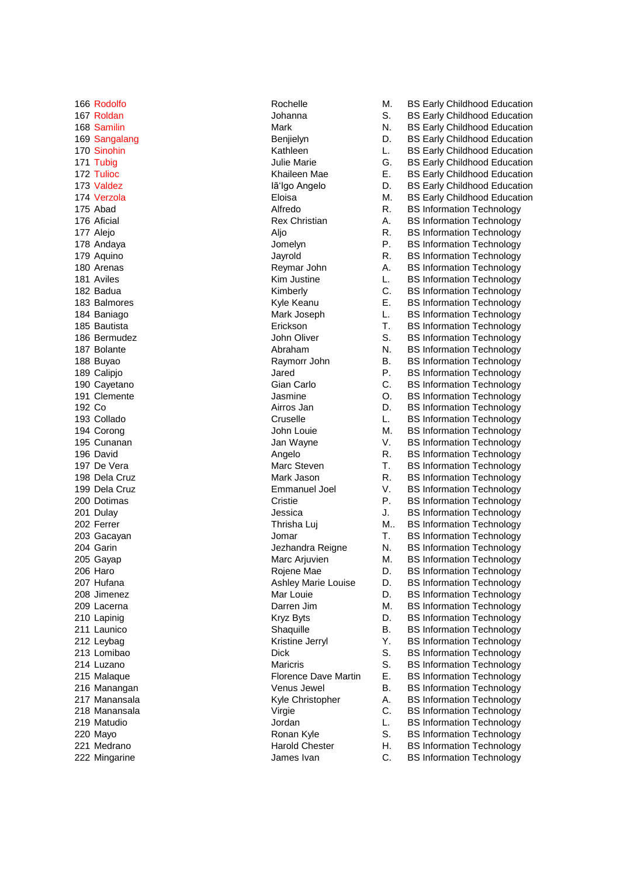222 Mingarine **C. BS Information Technology** James Ivan **C. BS Information Technology** 

166 Rodolfo **N. B. Rochelle** M. BS Early Childhood Education 167 Roldan **Johanna** S. BS Early Childhood Education Johanna S. BS Early Childhood Education 168 Samilin Mark Mark N. BS Early Childhood Education 169 Sangalang Benjielyn Benjielyn D. BS Early Childhood Education 170 Sinohin **Early Childhood Education** Kathleen L. BS Early Childhood Education 171 Tubig Communication System Marie G. BS Early Childhood Education 172 Tulioc **E.** E. BS Early Childhood Education **Khaileen Mae** E. BS Early Childhood Education 173 Valdez **Iammed Ialysis Community Community** Ialysis Angelo **II** D. BS Early Childhood Education 174 Verzola **M. B. Eloisa** Eloisa M. BS Early Childhood Education 175 Abad **Alfredo** R. BS Information Technology 176 Aficial **Rex Christian** A. BS Information Technology 177 Alejo **Aljo** Aljo R. BS Information Technology 178 Andaya **Internation Club Andaya** Jomelyn **P. BS Information Technology** 179 Aquino Jayrold R. BS Information Technology 180 Arenas **A. A. B. E. A. A. A. A. B. E. A. A. A. B. E.** Information Technology 181 Aviles **Kim Justine L. BS Information Technology Kim Justine L. BS Information Technology** 182 Badua **C.** BS Information Technology **Kimberly** C. BS Information Technology 183 Balmores **E.** BS Information Technology **Kyle Keanu** E. BS Information Technology 184 Baniago **Mark Joseph L. BS Information Technology Mark Joseph** L. BS Information Technology 185 Bautista Erickson T. BS Information Technology 186 Bermudez John Oliver S. BS Information Technology 187 Bolante **N. B. Abraham** N. BS Information Technology 188 Buyao Raymorr John B. BS Information Technology 189 Calipio **Calipio Calipio Calipio According to the United States Calipio According Jared** P. BS Information Technology 190 Cayetano **Carlo Carlo Carlo C. BS Information Technology**<br>191 Clemente **Gian Carlo C. C. BS Information Technology**<br>191 Clemente C. C. C. BS Information Technology Jasmine **O.** BS Information Technology 192 Co **Airros Jan D. BS Information Technology Co** Airros Jan D. BS Information Technology 193 Collado Cruselle L. BS Information Technology 194 Corong **194 Corong 194 Corong 194 Corong 194 Corong 195 Cunanan**<br>195 Cunanan **M. B. Lunanan** Jan Wavne Mary V. BS Information Technology Jan Wayne V. BS Information Technology 196 David **Angelo** Angelo **R. BS Information Technology R. BS** Information Technology 197 De Vera **Marc Steven** T. BS Information Technology 198 Dela Cruz **Mark Jason** R. BS Information Technology 199 Dela Cruz Emmanuel Joel V. BS Information Technology 200 Dotimas **Cristie P. BS Information Technology P. BS** Information Technology 201 Dulay **Dulay Jessica** J. BS Information Technology 202 Ferrer Thrisha Luj M.. BS Information Technology **M.** BS Information Technology 203 Gacayan Jomar T. BS Information Technology 204 Garin **Communist Communist Communist Communist Communist Communist Communist Communist Communist Communist Communist Communist Communist Communist Communist Communist Communist Communist Communist Communist Communist C** 205 Gayap **Marc Arjuvien M. BS Information Technology** Marc Arjuvien M. BS Information Technology 206 Haro **Rojene Mae** D. BS Information Technology **Rojene Mae** D. BS Information Technology 207 Hufana **Ashley Marie Louise D. BS Information Technology** D. BS Information Technology 208 Jimenez **Mar Louie Community** Mar Louie **D.** BS Information Technology 209 Lacerna Darren Jim M. BS Information Technology 210 Lapinig Communication Communication Communication Communication Communication Communication Communication Communication Communication Communication Communication Communication Communication Communication Communication 211 Launico **Shaquille** B. BS Information Technology **Shaquille** B. BS Information Technology 212 Leybag **Xerryl Marson Communist Communist Communist Communist Communist Communist Communist Communist Communist Communist Communist Communist Communist Communist Communist Communist Communist Communist Communist Commun** 213 Lomibao **Dick** Dick S. BS Information Technology 214 Luzano **Maricris** Maricris S. BS Information Technology 215 Malaque **Florence Dave Martin E. BS Information Technology Florence Dave Martin** E. BS Information Technology 216 Manangan **Example 312 Constructs** Venus Jewel **B.** BS Information Technology 217 Manansala **Manansala Kyle Christopher** A. BS Information Technology 218 Manansala Virgie C. BS Information Technology 219 Matudio **Communist Communist Communist Communist Communist Communist Communist Communist Communist Communist Communist Communist Communist Communist Communist Communist Communist Communist Communist Communist Communist** 220 Mayo **Ronan Kyle** S. BS Information Technology **Ronan Cyle** S. BS Information Technology 221 Medrano **Harold Chester** H. BS Information Technology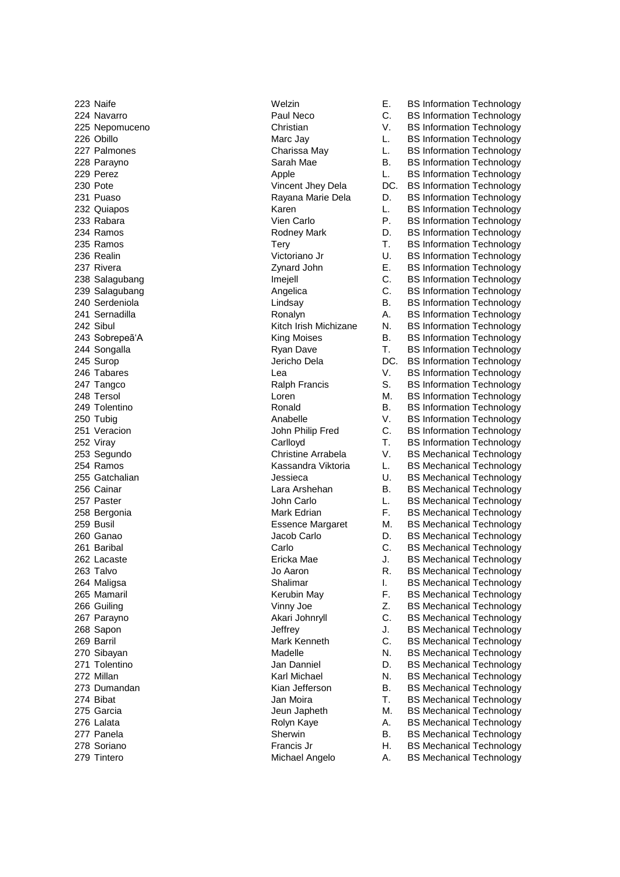223 Naife Welzin E. BS Information Technology 224 Navarro Paul Neco C. BS Information Technology 225 Nepomuceno Christian V. BS Information Technology 226 Obillo **Marc Jay L. BS Information Technology Marc Jay L. BS Information Technology** 227 Palmones Charissa May L. BS Information Technology 228 Parayno **Sarah Mae** B. BS Information Technology **Sarah Mae** B. BS Information Technology 229 Perez **Apple** Apple **L. BS Information Technology CO** 230 Pote **Vincent Jhey Dela** DC. BS Information Technology 231 Puaso **Rayana Marie Dela** D. BS Information Technology<br>232 Quiapos **Rayana Marie Dela** D. BS Information Technology Karen L. BS Information Technology 233 Rabara Vien Carlo P. BS Information Technology 234 Ramos **Rodney Mark** D. BS Information Technology **Rodney Mark** D. BS Information Technology 235 Ramos **Tery** Tery Tery T. BS Information Technology 236 Realin Victoriano Jr U. BS Information Technology 237 Rivera Zynard John E. BS Information Technology 238 Salagubang **Imejell** Imejell C. BS Information Technology 239 Salagubang **Angelica** Angelica C. BS Information Technology C. BS Information Technology 240 Serdeniola Lindsay B. BS Information Technology 241 Sernadilla Ronalyn A. BS Information Technology 242 Sibul **Example 242 Sibul Kitch Irish Michizane** N. BS Information Technology 243 Sobrepeã'A King Moises B. BS Information Technology 244 Songalla Ryan Dave T. BS Information Technology 245 Surop Jericho Dela DC. BS Information Technology 246 Tabares Lea V. BS Information Technology S. BS Information Technology 248 Tersol Communication Communication Communication Communication Communication Communication Communication C<br>249 Tolentino Communication Communication Technology<br>249 Tolentino Communication Communication Communication Co 249 Tolentino 250 Tubia Ronald B. BS Information Technology<br>250 Tubia 250 Tubia Roman Roman Anabelle 250 Tubia Rechnology 250 Tubig 1990 Tubig Anabelle 1990 V. BS Information Technology<br>251 Veracion 1990 Volume 1991 John Philip Fred C. BS Information Technology C. BS Information Technology 252 Viray Carlloyd T. BS Information Technology<br>253 Seaundo **Christine Arrabela** V. BS Mechanical Technology Christine Arrabela V. BS Mechanical Technology 254 Ramos Kassandra Viktoria L. BS Mechanical Technology 255 Gatchalian Jessieca U. BS Mechanical Technology 256 Cainar **Lara Arshehan** B. BS Mechanical Technology 257 Paster **Communist Communist Communist Communist Communist Communist Communist Communist Communist Communist Communist Communist Communist Communist Communist Communist Communist Communist Communist Communist Communist** 258 Bergonia **F. B. Edrian** Mark Edrian F. BS Mechanical Technology 259 Busil Essence Margaret M. BS Mechanical Technology 260 Ganao Jacob Carlo D. BS Mechanical Technology 261 Baribal Carlo C. BS Mechanical Technology 262 Lacaste **Ericka Mae Manuel Accord B**ricka Mae J. BS Mechanical Technology 263 Talvo **Caron Communist Communist Communist Communist Communist Communist Communist Communist Communist Communist Communist Communist Communist Communist Communist Communist Communist Communist Communist Communist Commu** 264 Maligsa New Shalimar I. BS Mechanical Technology 265 Mamaril **Example 265 Mamaril Comparison Comparison Comparison Kerubin May Comparison F. BS Mechanical Technology** 266 Guiling Vinny Joe Z. BS Mechanical Technology 267 Parayno Akari Johnryll C. BS Mechanical Technology 268 Sapon **Jeffrey** J. BS Mechanical Technology 269 Barril Mark Kenneth C. BS Mechanical Technology C. BS Mechanical Technology 270 Sibayan **Madelle** Madelle N. BS Mechanical Technology 271 Tolentino **Canadia According to the State of Languary 371 Tolentino** D. BS Mechanical Technology 272 Millan **N. B. Example 272 Millan** Karl Michael N. BS Mechanical Technology 273 Dumandan Kian Jefferson B. BS Mechanical Technology 274 Bibat Jan Moira T. BS Mechanical Technology 275 Garcia **M. B. E. S. E. S. E. S. E. S. E. S. E. S. E. S. E. S. E. S. E. S. E. S. E. S. E. S. E. S. E. S. E. S. E. S. E. S. E. S. E. S. E. S. E. S. E. S. E. S. E. S. E. S. E. S. E. S. E. S. E. S. E. S. E. S. E. S. E. S.** 276 Lalata Rolyn Kaye A. BS Mechanical Technology 277 Panela Sherwin B. BS Mechanical Technology 278 Soriano Francis Jr H. BS Mechanical Technology 279 Tintero **A. A. B. Tintero A. A. A. B. S. Mechanical Technology** Michael Angelo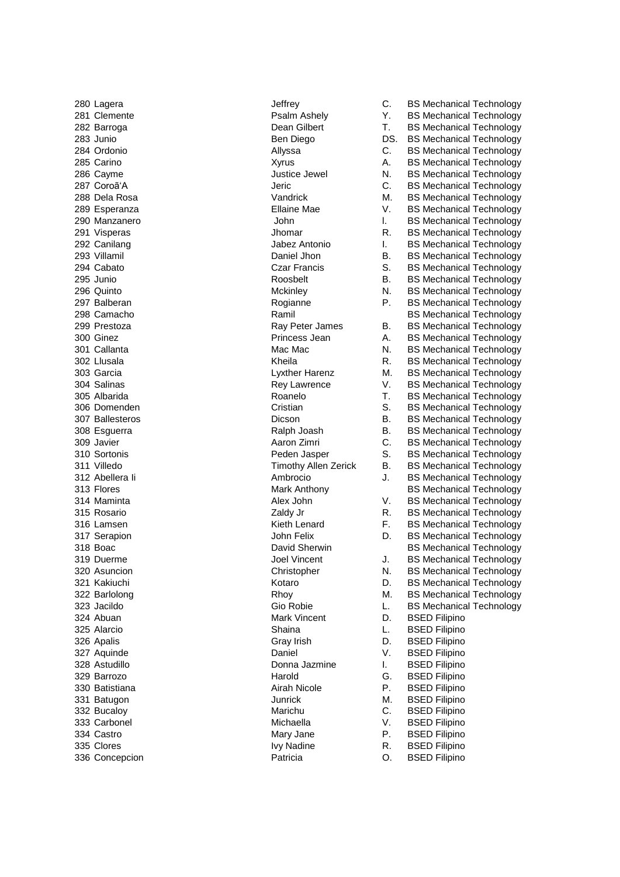324 Abuan **Mark Vincent** D. BSED Filipino 325 Alarcio Shaina L. BSED Filipino 326 Apalis Gray Irish D. BSED Filipino 327 Aquinde **Daniel V. BSED Filipino** Daniel V. BSED Filipino 328 Astudillo Donna Jazmine I. BSED Filipino 329 Barrozo **Marcio Harold G. BSED Filipino** Harold G. BSED Filipino 330 Batistiana **Airah Nicole** P. BSED Filipino 331 Batugon **M. BSED Filipino** Junrick M. BSED Filipino 332 Bucaloy Marichu C. BSED Filipino 333 Carbonel Michaella V. BSED Filipino 334 Castro **Mary Jane** P. BSED Filipino 335 Clores **IVy Nadine** R. BSED Filipino 336 Concepcion Patricia O. BSED Filipino

280 Lagera **C. BS Mechanical Technology** Jeffrey **C. BS Mechanical Technology** 281 Clemente **Property** Psalm Ashely **Property PSALM Ashely** Y. BS Mechanical Technology 282 Barroga Dean Gilbert T. BS Mechanical Technology 283 Junio **DESETS EXECUTE:** Ben Diego **DESETS BS Mechanical Technology** 284 Ordonio Allyssa C. BS Mechanical Technology 285 Carino **Xyrus** A. BS Mechanical Technology **A.** A. BS Mechanical Technology 286 Cayme **Cayme Cayme Cayme Justice Jewel M. BS Mechanical Technology** 287 Coroã'A Jeric C. BS Mechanical Technology 288 Dela Rosa **M. B. Internal Technology** Vandrick M. BS Mechanical Technology 289 Esperanza Ellaine Mae V. BS Mechanical Technology 290 Manzanero **Channel Letter Schoology** John L. BS Mechanical Technology 291 Visperas **Contract Contract Contract Contract Contract Contract Contract Contract Contract Contract Contract Contract Contract Contract Contract Contract Contract Contract Contract Contract Contract Contract Contract C** 292 Canilang **I. B. L. B. S. Mechanical Technology** Jabez Antonio **I. B. B. Mechanical Technology** 293 Villamil **Daniel Jhon** B. BS Mechanical Technology 294 Cabato **Czar Francis** S. BS Mechanical Technology **Car Francis** S. BS Mechanical Technology 295 Junio Roosbelt B. BS Mechanical Technology 296 Quinto **Mckinley Mckinley** N. BS Mechanical Technology 297 Balberan **P. B. E. B. E. A. E. A. E. A. E. A. E. A. E. A. E. A. E. P. E. B. S. Mechanical Technology** 298 Camacho **Ramil** Ramil BS Mechanical Technology 299 Prestoza Ray Peter James B. BS Mechanical Technology 300 Ginez **A. B. E. A. B. E. A. B. A. B. E.** A. B. B. Mechanical Technology 301 Callanta **Mac Mac Mac Mac Mechanical Technology** Mac Mac Mac N. BS Mechanical Technology 302 Llusala **R. B. E. A. E. A. E. A. E. A. E. A. E. A. E. A. E. A. E. A. E. A. E. A. E. A. E. A. E. A. E. A. E.** 303 Garcia Lyxther Harenz M. BS Mechanical Technology 304 Salinas Rey Lawrence V. BS Mechanical Technology 305 Albarida Roanelo T. BS Mechanical Technology 306 Domenden Technology Cristian Cristian S. BS Mechanical Technology 307 Ballesteros Dicson B. BS Mechanical Technology 308 Esguerra Ralph Joash B. BS Mechanical Technology 309 Javier **Aaron Zimri** C. BS Mechanical Technology<br>310 Sortonis C. BS Mechanical Technology<br>310 Sortonis Peden Jasper S. BS Mechanical Technology 311 Villedo **Timothy Allen Zerick** B. BS Mechanical Technology 312 Abellera Ii Ambrocio J. BS Mechanical Technology 313 Flores **Mark Anthony** BS Mechanical Technology 314 Maminta **Alex John Manual Alex John V. BS Mechanical Technology Alex John** V. BS Mechanical Technology 315 Rosario **Caldy Jr Caldy Jr** R. BS Mechanical Technology 316 Lamsen **F. BS Mechanical Technology Kieth Lenard** F. BS Mechanical Technology 317 Serapion John Felix D. BS Mechanical Technology 318 Boac **David Sherwin** BS Mechanical Technology 319 Duerme **Joel Vincent J. BS Mechanical Technology** J. BS Mechanical Technology 320 Asuncion **N. B. E. A. Internal Christopher** N. BS Mechanical Technology 321 Kakiuchi **Marting Component Component Component Component Component Component Component Component Component Component Component Component Component Component Component Component Component Component Component Component** 322 Barlolong **M. B. Example 2018** Rhoy **M. B. B. Mechanical Technology** 323 Jacildo **Gio Robie** Gio Robie L. BS Mechanical Technology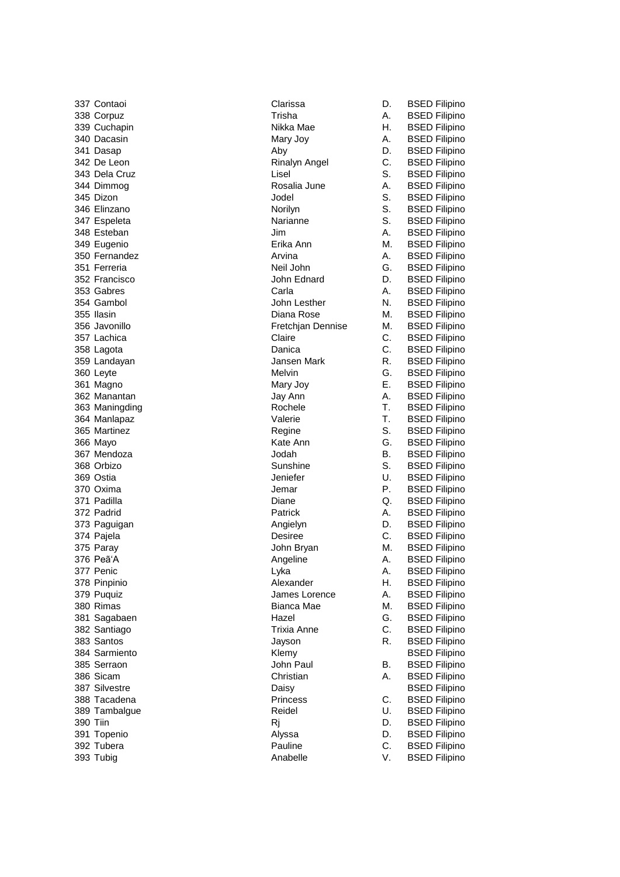| 337 Contaoi    | Clarissa           | D. | <b>BSED Filipino</b> |
|----------------|--------------------|----|----------------------|
| 338 Corpuz     | Trisha             | Α. | <b>BSED Filipino</b> |
| 339 Cuchapin   | Nikka Mae          | Η. | <b>BSED Filipino</b> |
| 340 Dacasin    | Mary Joy           | А. | <b>BSED Filipino</b> |
| 341 Dasap      | Aby                | D. | <b>BSED Filipino</b> |
| 342 De Leon    | Rinalyn Angel      | С. | <b>BSED Filipino</b> |
| 343 Dela Cruz  | Lisel              | S. | <b>BSED Filipino</b> |
| 344 Dimmog     | Rosalia June       | А. | <b>BSED Filipino</b> |
| 345 Dizon      | Jodel              | S. | <b>BSED Filipino</b> |
| 346 Elinzano   | Norilyn            | S. | <b>BSED Filipino</b> |
| 347 Espeleta   | Narianne           | S. | <b>BSED Filipino</b> |
| 348 Esteban    | Jim                | А. | <b>BSED Filipino</b> |
| 349 Eugenio    | Erika Ann          | М. | <b>BSED Filipino</b> |
| 350 Fernandez  | Arvina             | А. | <b>BSED Filipino</b> |
| 351 Ferreria   | Neil John          | G. | <b>BSED Filipino</b> |
| 352 Francisco  | John Ednard        | D. | <b>BSED Filipino</b> |
| 353 Gabres     | Carla              | Α. | <b>BSED Filipino</b> |
| 354 Gambol     | John Lesther       | N. | <b>BSED Filipino</b> |
| 355 Ilasin     | Diana Rose         | М. | <b>BSED Filipino</b> |
| 356 Javonillo  | Fretchjan Dennise  | М. |                      |
| 357 Lachica    | Claire             | C. | <b>BSED Filipino</b> |
|                | Danica             |    | <b>BSED Filipino</b> |
| 358 Lagota     |                    | С. | <b>BSED Filipino</b> |
| 359 Landayan   | Jansen Mark        | R. | <b>BSED Filipino</b> |
| 360 Leyte      | Melvin             | G. | <b>BSED Filipino</b> |
| 361 Magno      | Mary Joy           | Ε. | <b>BSED Filipino</b> |
| 362 Manantan   | Jay Ann            | Α. | <b>BSED Filipino</b> |
| 363 Maningding | Rochele            | т. | <b>BSED Filipino</b> |
| 364 Manlapaz   | Valerie            | Τ. | <b>BSED Filipino</b> |
| 365 Martinez   | Regine             | S. | <b>BSED Filipino</b> |
| 366 Mayo       | Kate Ann           | G. | <b>BSED Filipino</b> |
| 367 Mendoza    | Jodah              | В. | <b>BSED Filipino</b> |
| 368 Orbizo     | Sunshine           | S. | <b>BSED Filipino</b> |
| 369 Ostia      | Jeniefer           | U. | <b>BSED Filipino</b> |
| 370 Oxima      | Jemar              | Р. | <b>BSED Filipino</b> |
| 371 Padilla    | Diane              | Q. | <b>BSED Filipino</b> |
| 372 Padrid     | Patrick            | Α. | <b>BSED Filipino</b> |
| 373 Paguigan   | Angielyn           | D. | <b>BSED Filipino</b> |
| 374 Pajela     | Desiree            | C. | <b>BSED Filipino</b> |
| 375 Paray      | John Bryan         | М. | <b>BSED Filipino</b> |
| 376 Peã'A      | Angeline           | Α. | <b>BSED Filipino</b> |
| 377 Penic      | Lyka               | А. | <b>BSED Filipino</b> |
| 378 Pinpinio   | Alexander          | Н. | <b>BSED Filipino</b> |
| 379 Puquiz     | James Lorence      | Α. | <b>BSED Filipino</b> |
| 380 Rimas      | Bianca Mae         | М. | <b>BSED Filipino</b> |
| 381 Sagabaen   | Hazel              | G. | <b>BSED Filipino</b> |
| 382 Santiago   | <b>Trixia Anne</b> | C. | <b>BSED Filipino</b> |
| 383 Santos     | Jayson             | R. | <b>BSED Filipino</b> |
| 384 Sarmiento  | Klemy              |    | <b>BSED Filipino</b> |
| 385 Serraon    | John Paul          | В. | <b>BSED Filipino</b> |
| 386 Sicam      | Christian          | А. | <b>BSED Filipino</b> |
| 387 Silvestre  | Daisy              |    | <b>BSED Filipino</b> |
| 388 Tacadena   | <b>Princess</b>    | C. | <b>BSED Filipino</b> |
| 389 Tambalgue  | Reidel             | U. | <b>BSED Filipino</b> |
| 390 Tiin       | Rj                 | D. | <b>BSED Filipino</b> |
| 391 Topenio    | Alyssa             | D. | <b>BSED Filipino</b> |
| 392 Tubera     | Pauline            | C. | <b>BSED Filipino</b> |
| 393 Tubig      | Anabelle           | V. | <b>BSED Filipino</b> |
|                |                    |    |                      |

| А.       | <b>BSED</b><br>Filipino          |
|----------|----------------------------------|
| H.       | <b>BSED</b><br>Filipino          |
| A.       | <b>BSED</b><br>Filipino          |
| D.       | BSED<br>Filipino                 |
| C.       | BSED<br>Filipino                 |
| S.       | <b>BSED</b><br>Filipino          |
| A.       | <b>BSED</b><br>Filipino          |
| S.       | ----<br>BSED<br>Filipino         |
| S.       | BSED<br>Filipino                 |
| S.       | <b>BSED</b><br>Filipino          |
| A.       | <b>BSED</b><br>Filipino          |
| M.       | Filipino                         |
|          | <b>BSED</b>                      |
| A.       | BSED<br>Filipino                 |
| Ġ.       | BSED<br>BSED<br>BSED<br>Filipino |
| D.       | Filipino                         |
| A.       | Filipino                         |
| N.       | <b>BSED</b><br>Filipino          |
| М.       | <b>BSED</b><br>Filipino          |
| М.       | <b>BSED</b><br>Filipino          |
| C.       | <b>BSED</b><br>Filipino          |
| C.       | BSED<br>Filipino                 |
| R.       | Filipino                         |
| G.       | BSED<br>BSED<br>Filipino         |
| E.       | ----<br>BSED<br>Filipino         |
|          | <b>BSED</b><br>Filipino          |
| A.<br>T. | <b>BSED</b><br>Filipino          |
| T.       | Filipino<br><b>BSED</b>          |
| S.       | BSED<br>Filipino                 |
| G.       | Filipino                         |
| B.       | BSED<br>BSED<br>Filipino         |
| S.       | BSED<br>Filipino                 |
| U.       | <b>BSED</b><br>Filipino          |
| P.       | <b>BSED</b><br>Filipino          |
|          |                                  |
| Q.       | Filipino<br>BSED                 |
| A.       | BSED<br>Filipino                 |
| D.       | BSED<br>Filipino                 |
| C.       | BSED<br>BSED<br>Filipino         |
| M.       | Filipino                         |
| A.       | <b>BSED</b><br>Filipino          |
| A.       | <b>BSED</b><br>Filipino          |
| H.       | <b>BSED</b><br>Filipino          |
| A.       | <b>BSED</b><br>Filipino          |
| M.       | BSED<br>Filipino                 |
| Ġ.       | BSED<br>BSED<br>Filipino         |
| C.       | Filipino                         |
| R.       | <b>BSED</b><br>Filipino          |
|          | <b>BSED</b><br>Filipino          |
| В.       | BSED<br>Filipino                 |
| A.       | <b>BSED</b><br>Filipino          |
|          | <b>BSED</b><br>Filipino          |
| C.       | BSED<br>Filipino                 |
| U.       | Filipino                         |
| D.       | BSED<br>BSED<br>Filipino         |
| D.       | BSED<br>Filipino                 |
| C.       | <b>BSED</b><br>Filipino          |
| V.       | Filipino<br>BSED                 |
|          |                                  |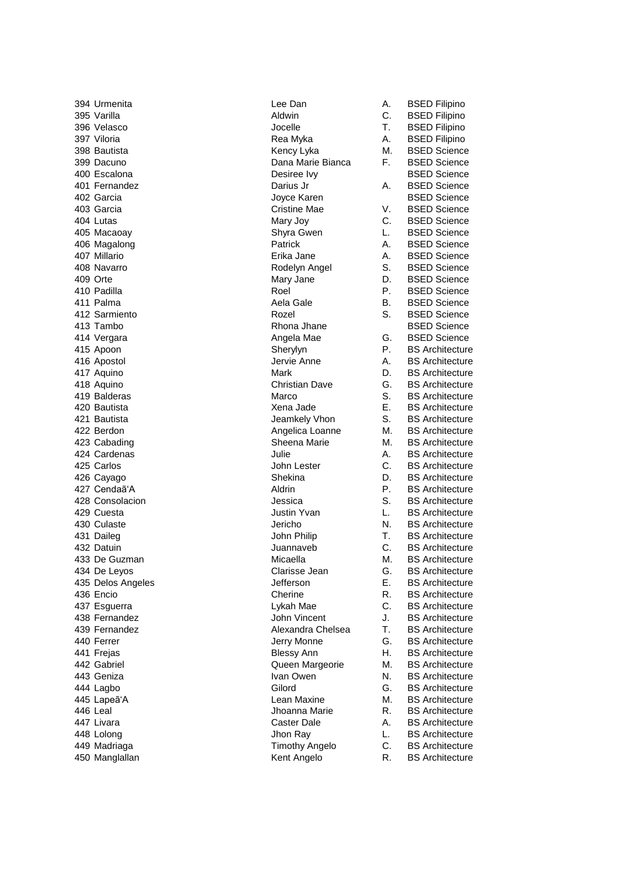394 Urmenita **Lee Dan** A. BSED Filipino 395 Varilla **Aldwin** Aldwin C. BSED Filipino 396 Velasco Jocelle T. BSED Filipino 397 Viloria **A. BSED Filipino** Rea Myka A. BSED Filipino 398 Bautista **M. BSED Science** Kency Lyka M. BSED Science 399 Dacuno Dana Marie Bianca F. BSED Science 400 Escalona Desiree Ivy BSED Science 401 Fernandez Darius Jr A. BSED Science 402 Garcia **All and Science Science Science Science** Joyce Karen **BSED** Science 403 Garcia Cristine Mae V. BSED Science 404 Lutas Mary Joy C. BSED Science 405 Macaoay Shyra Gwen L. BSED Science 406 Magalong **Patrick A. BSED Science** Patrick **A. BSED** Science 407 Millario Erika Jane A. BSED Science 408 Navarro Rodelyn Angel S. BSED Science 409 Orte Mary Jane D. BSED Science 410 Padilla Roel P. BSED Science Aela Gale B. BSED Science 412 Sarmiento **Acceleration Rozel** Rozel S. BSED Science At the Separate Science Rhona Jhane BSED Science BSED Science 414 Vergara **Angela Mae** G. BSED Science 415 Apoon Sherylyn P. BS Architecture 416 Apostol Jervie Anne A. BS Architecture 417 Aquino **Mark** Mark **D. BS Architecture Mark D. BS Architecture** 418 Aquino Christian Dave G. BS Architecture 419 Balderas Marco S. BS Architecture 420 Bautista Xena Jade E. BS Architecture 421 Bautista Jeamkely Vhon S. BS Architecture Angelica Loanne M. BS Architecture 423 Cabading **Sheena Marie M. BS Architecture** Sheena Marie M. BS Architecture 424 Cardenas Julie A. BS Architecture 425 Carlos John Lester C. BS Architecture Shekina D. BS Architecture 427 Cendaã'A Aldrin P. BS Architecture 428 Consolacion Jessica S. BS Architecture 429 Cuesta Justin Yvan L. BS Architecture 430 Culaste Jericho N. BS Architecture John Philip T. BS Architecture 432 Datuin Juannaveb C. BS Architecture 433 De Guzman Micaella Micaella M. BS Architecture 434 De Leyos Clarisse Jean G. BS Architecture 435 Delos Angeles Jefferson E. BS Architecture 436 Encio **Cherine R. BS Architecture** R. BS Architecture 437 Esguerra Lykah Mae C. BS Architecture 438 Fernandez John Vincent J. BS Architecture 439 Fernandez **Alexandra Chelsea** T. BS Architecture 440 Ferrer The G. BS Architecture Jerry Monne G. BS Architecture 441 Frejas **Blessy Ann** H. BS Architecture 442 Gabriel **Margeorie** Gueen Margeorie M. BS Architecture 443 Geniza **IVan Owen** N. BS Architecture 444 Lagbo Gilord G. BS Architecture 445 Lapeã'A Lean Maxine M. BS Architecture 446 Leal Jhoanna Marie R. BS Architecture 447 Livara **Caster Dale** Caster Dale A. BS Architecture 448 Lolong Jhon Ray L. BS Architecture 449 Madriaga Timothy Angelo C. BS Architecture 450 Manglallan **Kent Angelo** R. BS Architecture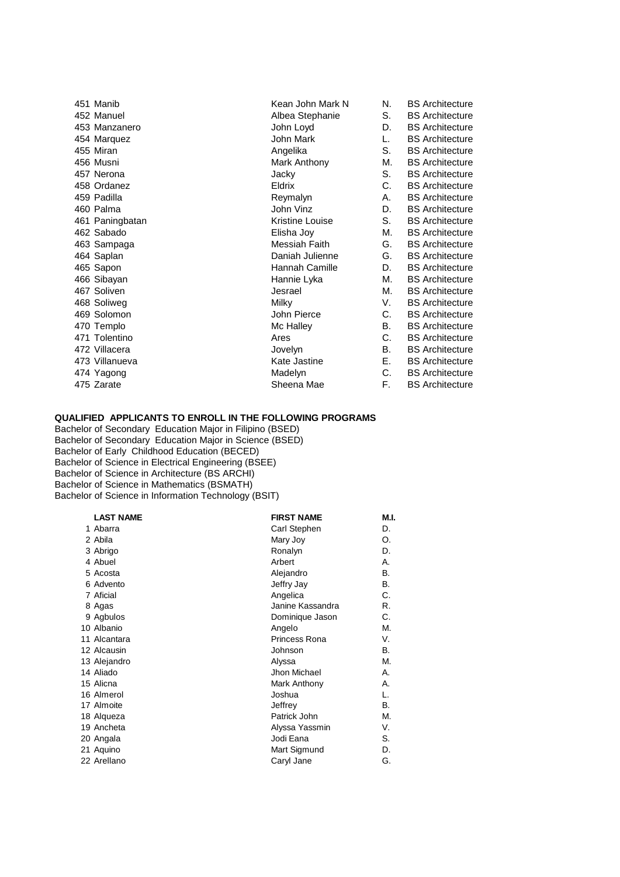| 451 Manib       | Kean John Mark N | N. | <b>BS</b> Architecture |
|-----------------|------------------|----|------------------------|
| 452 Manuel      | Albea Stephanie  | S. | <b>BS</b> Architecture |
| 453 Manzanero   | John Loyd        | D. | <b>BS</b> Architecture |
| 454 Marquez     | John Mark        | L. | <b>BS</b> Architecture |
| 455 Miran       | Angelika         | S. | <b>BS</b> Architecture |
| 456 Musni       | Mark Anthony     | М. | <b>BS</b> Architecture |
| 457 Nerona      | Jacky            | S. | <b>BS</b> Architecture |
| 458 Ordanez     | <b>Eldrix</b>    | C. | <b>BS</b> Architecture |
| 459 Padilla     | Reymalyn         | А. | <b>BS</b> Architecture |
| 460 Palma       | John Vinz        | D. | <b>BS</b> Architecture |
| 461 Paningbatan | Kristine Louise  | S. | <b>BS</b> Architecture |
| 462 Sabado      | Elisha Joy       | М. | <b>BS</b> Architecture |
| 463 Sampaga     | Messiah Faith    | G. | <b>BS</b> Architecture |
| 464 Saplan      | Daniah Julienne  | G. | <b>BS</b> Architecture |
| 465 Sapon       | Hannah Camille   | D. | <b>BS</b> Architecture |
| 466 Sibayan     | Hannie Lyka      | М. | <b>BS</b> Architecture |
| 467 Soliven     | Jesrael          | М. | <b>BS</b> Architecture |
| 468 Soliweg     | <b>Milky</b>     | V. | <b>BS</b> Architecture |
| 469 Solomon     | John Pierce      | C. | <b>BS</b> Architecture |
| 470 Templo      | Mc Halley        | В. | <b>BS</b> Architecture |
| 471 Tolentino   | Ares             | C. | <b>BS</b> Architecture |
| 472 Villacera   | Jovelyn          | В. | <b>BS</b> Architecture |
| 473 Villanueva  | Kate Jastine     | Е. | <b>BS</b> Architecture |
| 474 Yagong      | Madelyn          | C. | <b>BS</b> Architecture |
| 475 Zarate      | Sheena Mae       | F. | <b>BS</b> Architecture |
|                 |                  |    |                        |

## **QUALIFIED APPLICANTS TO ENROLL IN THE FOLLOWING PROGRAMS**

Bachelor of Secondary Education Major in Filipino (BSED) Bachelor of Secondary Education Major in Science (BSED) Bachelor of Early Childhood Education (BECED) Bachelor of Science in Electrical Engineering (BSEE) Bachelor of Science in Architecture (BS ARCHI) Bachelor of Science in Mathematics (BSMATH) Bachelor of Science in Information Technology (BSIT)

| <b>LAST NAME</b> | <b>FIRST NAME</b> | M.I. |
|------------------|-------------------|------|
| 1 Abarra         | Carl Stephen      | D.   |
| 2 Abila          | Mary Joy          | O.   |
| 3 Abrigo         | Ronalyn           | D.   |
| 4 Abuel          | Arbert            | А.   |
| 5 Acosta         | Alejandro         | В.   |
| 6 Advento        | Jeffry Jay        | В.   |
| 7 Aficial        | Angelica          | C.   |
| 8 Agas           | Janine Kassandra  | R.   |
| 9 Agbulos        | Dominique Jason   | C.   |
| 10 Albanio       | Angelo            | М.   |
| 11 Alcantara     | Princess Rona     | V.   |
| 12 Alcausin      | Johnson           | В.   |
| 13 Alejandro     | Alyssa            | М.   |
| 14 Aliado        | Jhon Michael      | А.   |
| 15 Alicna        | Mark Anthony      | А.   |
| 16 Almerol       | Joshua            | L.   |
| 17 Almoite       | Jeffrey           | В.   |
| 18 Alqueza       | Patrick John      | М.   |
| 19 Ancheta       | Alyssa Yassmin    | V.   |
| 20 Angala        | Jodi Eana         | S.   |
| 21 Aquino        | Mart Sigmund      | D.   |
| 22 Arellano      | Caryl Jane        | G.   |
|                  |                   |      |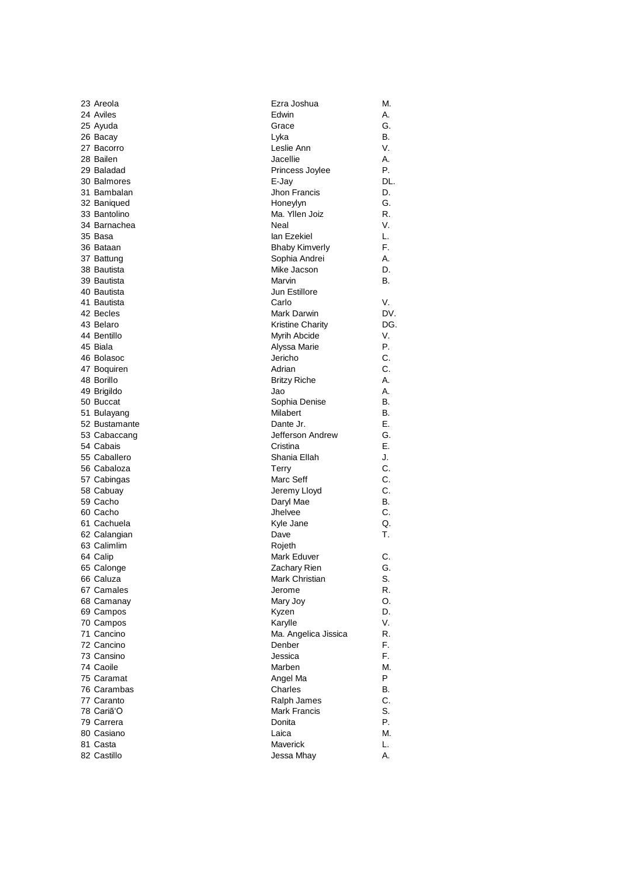| 23 Areola     | Ezra Joshua             | М.  |
|---------------|-------------------------|-----|
| 24 Aviles     | Edwin                   | А.  |
| 25 Ayuda      | Grace                   | G.  |
| 26 Bacay      | Lyka                    | В.  |
| 27 Bacorro    | Leslie Ann              | V.  |
| 28 Bailen     | Jacellie                | А.  |
| 29 Baladad    | Princess Joylee         | Р.  |
| 30 Balmores   | E-Jay                   | DL. |
| 31 Bambalan   | Jhon Francis            | D.  |
| 32 Baniqued   | Honeylyn                | G.  |
| 33 Bantolino  | Ma. Yllen Joiz          | R.  |
| 34 Barnachea  | Neal                    | V.  |
| 35 Basa       | lan Ezekiel             | L.  |
| 36 Bataan     | <b>Bhaby Kimverly</b>   | F.  |
| 37 Battung    | Sophia Andrei           | А.  |
| 38 Bautista   | Mike Jacson             | D.  |
| 39 Bautista   | Marvin                  | В.  |
| 40 Bautista   | Jun Estillore           |     |
| 41 Bautista   | Carlo                   | V.  |
| 42 Becles     | Mark Darwin             | DV. |
| 43 Belaro     | <b>Kristine Charity</b> | DG. |
| 44 Bentillo   | Myrih Abcide            | V.  |
| 45 Biala      | Alyssa Marie            | Р.  |
| 46 Bolasoc    | Jericho                 | C.  |
| 47 Boquiren   | Adrian                  | C.  |
| 48 Borillo    | <b>Britzy Riche</b>     | А.  |
| 49 Brigildo   | Jao                     | А.  |
| 50 Buccat     | Sophia Denise           | В.  |
| 51 Bulayang   | Milabert                | В.  |
| 52 Bustamante | Dante Jr.               | Е.  |
| 53 Cabaccang  | Jefferson Andrew        | G.  |
| 54 Cabais     | Cristina                | Е.  |
| 55 Caballero  | Shania Ellah            | J.  |
| 56 Cabaloza   | Terry                   | C.  |
| 57 Cabingas   | Marc Seff               | C.  |
| 58 Cabuay     | Jeremy Lloyd            | C.  |
| 59 Cacho      | Daryl Mae               | В.  |
| 60 Cacho      | Jhelvee                 | C.  |
| 61 Cachuela   | Kyle Jane               | Q.  |
| 62 Calangian  | Dave                    | Т.  |
| 63 Calimlim   | Rojeth                  |     |
| 64 Calip      | Mark Eduver             | С.  |
| 65 Calonge    | Zachary Rien            | G.  |
| 66 Caluza     | Mark Christian          | S.  |
| 67 Camales    | Jerome                  | R.  |
| 68 Camanay    | Mary Joy                | O.  |
| 69 Campos     | Kyzen                   | D.  |
| 70 Campos     | Karylle                 | V.  |
| 71 Cancino    | Ma. Angelica Jissica    | R.  |
| 72 Cancino    | Denber                  | F.  |
| 73 Cansino    | Jessica                 | F.  |
| 74 Caoile     | Marben                  | М.  |
| 75 Caramat    | Angel Ma                | P   |
| 76 Carambas   | Charles                 | В.  |
| 77 Caranto    | Ralph James             | C.  |
| 78 Cariã'O    | Mark Francis            | S.  |
| 79 Carrera    | Donita                  | Р.  |
| 80 Casiano    | Laica                   | М.  |
| 81 Casta      | Maverick                | L.  |
| 82 Castillo   | Jessa Mhay              | А.  |
|               |                         |     |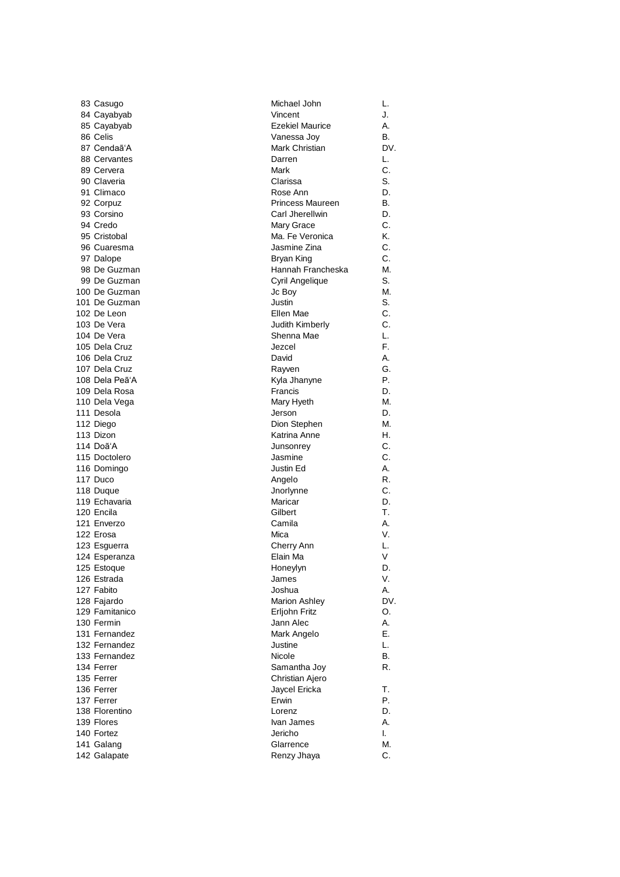| 83 Casugo      | Michael John            | L.  |
|----------------|-------------------------|-----|
| 84 Cayabyab    | Vincent                 | J.  |
| 85 Cayabyab    | <b>Ezekiel Maurice</b>  | А.  |
| 86 Celis       | Vanessa Joy             | В.  |
| 87 Cendaã'A    | Mark Christian          | DV. |
| 88 Cervantes   | Darren                  | L.  |
| 89 Cervera     | Mark                    | С.  |
| 90 Claveria    | Clarissa                | S.  |
| 91 Climaco     | Rose Ann                | D.  |
| 92 Corpuz      | <b>Princess Maureen</b> | В.  |
| 93 Corsino     | Carl Jherellwin         | D.  |
| 94 Credo       | Mary Grace              | C.  |
| 95 Cristobal   | Ma. Fe Veronica         | Κ.  |
| 96 Cuaresma    | Jasmine Zina            | C.  |
| 97 Dalope      | Bryan King              | C.  |
| 98 De Guzman   | Hannah Francheska       | М.  |
| 99 De Guzman   | Cyril Angelique         | S.  |
| 100 De Guzman  | Jc Boy                  | М.  |
| 101 De Guzman  | Justin                  | S.  |
| 102 De Leon    | Ellen Mae               | С.  |
| 103 De Vera    | Judith Kimberly         | C.  |
| 104 De Vera    |                         |     |
|                | Shenna Mae              | L.  |
| 105 Dela Cruz  | Jezcel                  | F.  |
| 106 Dela Cruz  | David                   | А.  |
| 107 Dela Cruz  | Rayven                  | G.  |
| 108 Dela Peã'A | Kyla Jhanyne            | Р.  |
| 109 Dela Rosa  | Francis                 | D.  |
| 110 Dela Vega  | Mary Hyeth              | М.  |
| 111 Desola     | Jerson                  | D.  |
| 112 Diego      | Dion Stephen            | М.  |
| 113 Dizon      | Katrina Anne            | Η.  |
| 114 Doã'A      | Junsonrey               | С.  |
| 115 Doctolero  | Jasmine                 | C.  |
| 116 Domingo    | Justin Ed               | А.  |
| 117 Duco       | Angelo                  | R.  |
| 118 Duque      | Jnorlynne               | С.  |
| 119 Echavaria  | Maricar                 | D.  |
| 120 Encila     | Gilbert                 | Т.  |
| 121 Enverzo    | Camila                  | А.  |
| 122 Erosa      | Mica                    | V.  |
| 123 Esguerra   | Cherry Ann              | L.  |
| 124 Esperanza  | Elain Ma                | V   |
| 125 Estoque    | Honeylyn                | D.  |
| 126 Estrada    | James                   | V.  |
| 127 Fabito     | Joshua                  | Α.  |
| 128 Fajardo    | <b>Marion Ashley</b>    | DV. |
| 129 Famitanico | Erljohn Fritz           | О.  |
| 130 Fermin     | Jann Alec               | Α.  |
| 131 Fernandez  | Mark Angelo             | Е.  |
| 132 Fernandez  | Justine                 | L.  |
| 133 Fernandez  | Nicole                  | В.  |
| 134 Ferrer     | Samantha Joy            | R.  |
| 135 Ferrer     | Christian Ajero         |     |
| 136 Ferrer     | Jaycel Ericka           | Т.  |
| 137 Ferrer     | Erwin                   | Р.  |
| 138 Florentino | Lorenz                  | D.  |
| 139 Flores     | Ivan James              | А.  |
| 140 Fortez     | Jericho                 | ı.  |
|                |                         |     |
| 141 Galang     | Glarrence               | М.  |
| 142 Galapate   | Renzy Jhaya             | C.  |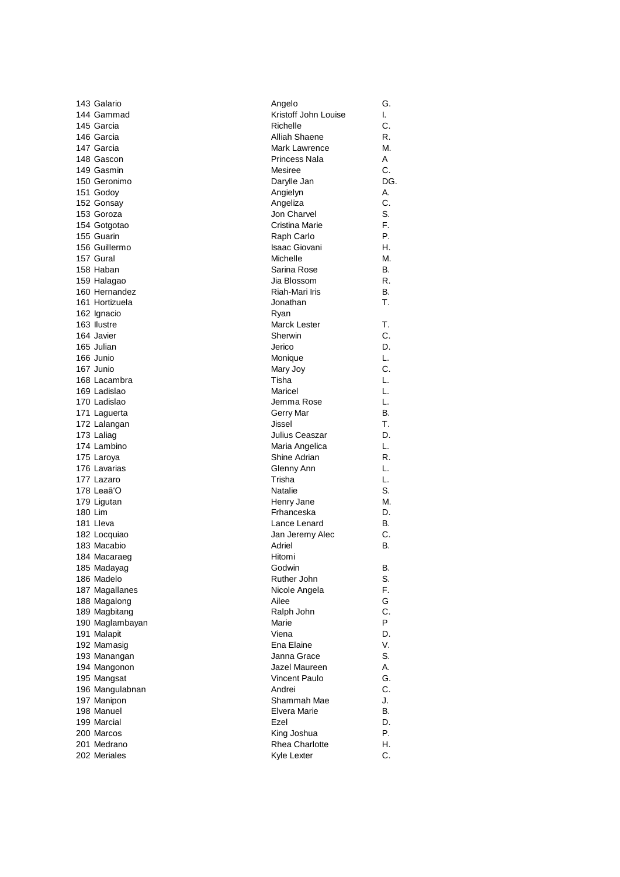| 143 Galario               | Angelo                | G.  |
|---------------------------|-----------------------|-----|
| 144 Gammad                | Kristoff John Louise  | I.  |
| 145 Garcia                | Richelle              | C.  |
| 146 Garcia                | Alliah Shaene         | R.  |
| 147 Garcia                | Mark Lawrence         | М.  |
| 148 Gascon                | Princess Nala         | A   |
| 149 Gasmin                | Mesiree               | C.  |
| 150 Geronimo              | Darylle Jan           | DG. |
| 151 Godoy                 | Angielyn              | А.  |
| 152 Gonsay                | Angeliza              | C.  |
| 153 Goroza                | Jon Charvel           | S.  |
| 154 Gotgotao              | Cristina Marie        | F.  |
| 155 Guarin                | Raph Carlo            | Р.  |
| 156 Guillermo             | Isaac Giovani         | Η.  |
| 157 Gural                 | Michelle              | М.  |
|                           |                       |     |
| 158 Haban                 | Sarina Rose           | В.  |
| 159 Halagao               | Jia Blossom           | R.  |
| 160 Hernandez             | Riah-Mari Iris        | В.  |
| 161 Hortizuela            | Jonathan              | Τ.  |
| 162 Ignacio               | Ryan                  |     |
| 163 Ilustre               | Marck Lester          | Т.  |
| 164 Javier                | Sherwin               | C.  |
| 165 Julian                | Jerico                | D.  |
| 166 Junio                 | Monique               | L.  |
| 167 Junio                 | Mary Joy              | C.  |
| 168 Lacambra              | Tisha                 | L.  |
| 169 Ladislao              | Maricel               | L.  |
| 170 Ladislao              | Jemma Rose            | L.  |
| 171 Laguerta              | Gerry Mar             | В.  |
| 172 Lalangan              | Jissel                | Т.  |
| 173 Laliag                | Julius Ceaszar        | D.  |
| 174 Lambino               | Maria Angelica        | L.  |
| 175 Laroya                | Shine Adrian          | R.  |
| 176 Lavarias              | Glenny Ann            | L.  |
| 177 Lazaro                | Trisha                | L.  |
| 178 Leaã'O                | Natalie               | S.  |
| 179 Ligutan               | Henry Jane            | М.  |
| 180 Lim                   | Frhanceska            | D.  |
| 181 Lleva                 | Lance Lenard          | В.  |
| 182 Locquiao              | Jan Jeremy Alec       | C.  |
| 183 Macabio               | Adriel                | В.  |
| 184 Macaraeg              | Hitomi                |     |
|                           | Godwin                | В.  |
| 185 Madayag<br>186 Madelo | Ruther John           | S.  |
|                           | Nicole Angela         | F.  |
| 187 Magallanes            |                       |     |
| 188 Magalong              | Ailee                 | G   |
| 189 Magbitang             | Ralph John            | C.  |
| 190 Maglambayan           | Marie                 | P   |
| 191 Malapit               | Viena                 | D.  |
| 192 Mamasig               | Ena Elaine            | V.  |
| 193 Manangan              | Janna Grace           | S.  |
| 194 Mangonon              | Jazel Maureen         | А.  |
| 195 Mangsat               | <b>Vincent Paulo</b>  | G.  |
| 196 Mangulabnan           | Andrei                | С.  |
| 197 Manipon               | Shammah Mae           | J.  |
| 198 Manuel                | Elvera Marie          | В.  |
| 199 Marcial               | Ezel                  | D.  |
| 200 Marcos                | King Joshua           | Р.  |
| 201 Medrano               | <b>Rhea Charlotte</b> | Η.  |
| 202 Meriales              | Kyle Lexter           | C.  |
|                           |                       |     |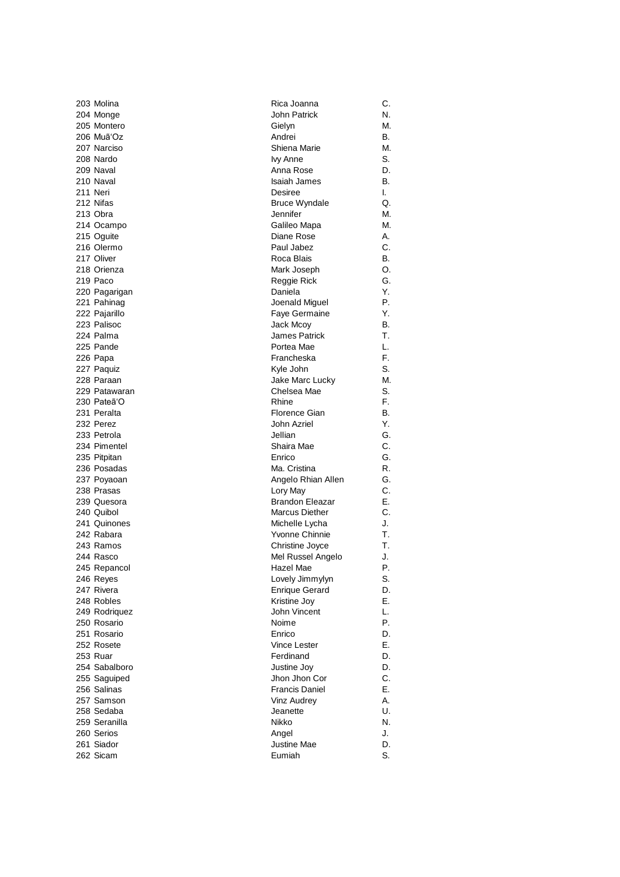| 203 Molina    | Rica Joanna            | С. |
|---------------|------------------------|----|
| 204 Monge     | John Patrick           | N. |
| 205 Montero   | Gielyn                 | M. |
| 206 Muã'Oz    | Andrei                 | В. |
| 207 Narciso   | Shiena Marie           | M. |
| 208 Nardo     | lvy Anne               | S. |
| 209 Naval     | Anna Rose              | D. |
| 210 Naval     | <b>Isaiah James</b>    | В. |
| 211 Neri      | Desiree                | I. |
| 212 Nifas     | <b>Bruce Wyndale</b>   | Q. |
| 213 Obra      | Jennifer               | М. |
| 214 Ocampo    | Galileo Mapa           | M. |
| 215 Oguite    | Diane Rose             | А. |
| 216 Olermo    | Paul Jabez             | С. |
| 217 Oliver    | Roca Blais             | В. |
| 218 Orienza   | Mark Joseph            | Ο. |
| 219 Paco      | Reggie Rick            | G. |
| 220 Pagarigan | Daniela                | Y. |
| 221 Pahinag   | Joenald Miguel         | Р. |
| 222 Pajarillo | Faye Germaine          | Υ. |
| 223 Palisoc   | Jack Mcoy              | В. |
| 224 Palma     | James Patrick          | т. |
| 225 Pande     | Portea Mae             | L. |
|               | Francheska             | F. |
| 226 Papa      | Kyle John              | S. |
| 227 Paquiz    |                        |    |
| 228 Paraan    | Jake Marc Lucky        | M. |
| 229 Patawaran | Chelsea Mae            | S. |
| 230 Pateã'O   | Rhine                  | F. |
| 231 Peralta   | Florence Gian          | В. |
| 232 Perez     | John Azriel            | Y. |
| 233 Petrola   | Jellian                | G. |
| 234 Pimentel  | Shaira Mae             | С. |
| 235 Pitpitan  | Enrico                 | G. |
| 236 Posadas   | Ma. Cristina           | R. |
| 237 Poyaoan   | Angelo Rhian Allen     | G. |
| 238 Prasas    | Lory May               | С. |
| 239 Quesora   | <b>Brandon Eleazar</b> | Е. |
| 240 Quibol    | <b>Marcus Diether</b>  | С. |
| 241 Quinones  | Michelle Lycha         | J. |
| 242 Rabara    | Yvonne Chinnie         | Т. |
| 243 Ramos     | Christine Joyce        | Т. |
| 244 Rasco     | Mel Russel Angelo      | J. |
| 245 Repancol  | Hazel Mae              | ۲. |
| 246 Reyes     | Lovely Jimmylyn        | S. |
| 247 Rivera    | <b>Enrique Gerard</b>  | D. |
| 248 Robles    | Kristine Joy           | Е. |
| 249 Rodriguez | John Vincent           | L. |
| 250 Rosario   | Noime                  | Р. |
| 251 Rosario   | Enrico                 | D. |
| 252 Rosete    | <b>Vince Lester</b>    | Е. |
| 253 Ruar      | Ferdinand              | D. |
| 254 Sabalboro | Justine Joy            | D. |
| 255 Saguiped  | Jhon Jhon Cor          | C. |
| 256 Salinas   | <b>Francis Daniel</b>  | Е. |
| 257 Samson    | Vinz Audrey            | А. |
| 258 Sedaba    | Jeanette               | U. |
| 259 Seranilla | Nikko                  | N. |
| 260 Serios    | Angel                  | J. |
| 261 Siador    | Justine Mae            | D. |
| 262 Sicam     | Eumiah                 | S. |
|               |                        |    |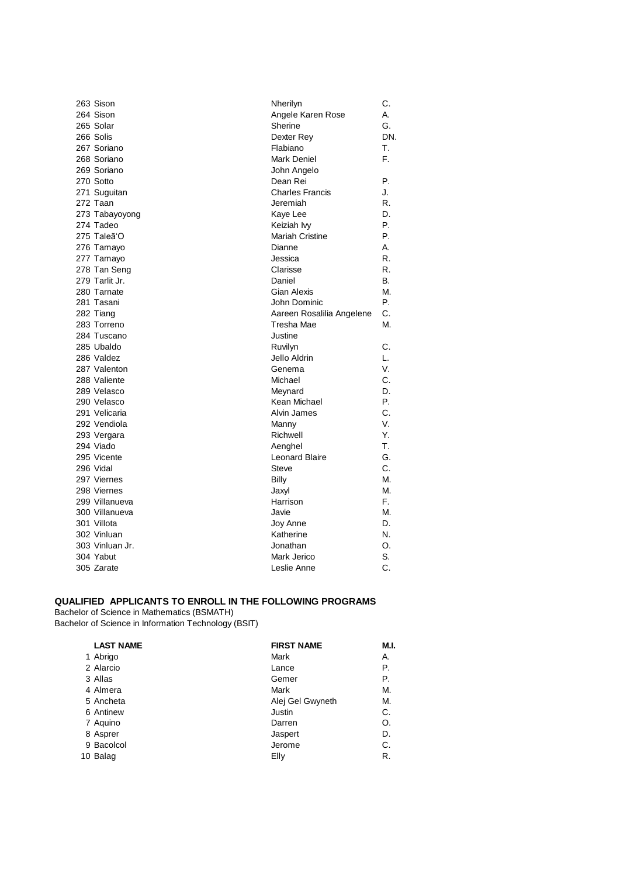| 263 Sison       | Nherilyn                  | C.  |
|-----------------|---------------------------|-----|
| 264 Sison       | Angele Karen Rose         | А.  |
| 265 Solar       | Sherine                   | G.  |
| 266 Solis       | Dexter Rey                | DN. |
| 267 Soriano     | Flabiano                  | Τ.  |
| 268 Soriano     | <b>Mark Deniel</b>        | F.  |
| 269 Soriano     | John Angelo               |     |
| 270 Sotto       | Dean Rei                  | Р.  |
| 271 Suguitan    | <b>Charles Francis</b>    | J.  |
| 272 Taan        | Jeremiah                  | R.  |
| 273 Tabayoyong  | Kaye Lee                  | D.  |
| 274 Tadeo       | Keiziah lvy               | Р.  |
| 275 Taleã'O     | <b>Mariah Cristine</b>    | Р.  |
| 276 Tamayo      | Dianne                    | А.  |
| 277 Tamayo      | Jessica                   | R.  |
| 278 Tan Seng    | Clarisse                  | R.  |
| 279 Tarlit Jr.  | Daniel                    | В.  |
| 280 Tarnate     | <b>Gian Alexis</b>        | М.  |
| 281 Tasani      | John Dominic              | Р.  |
| 282 Tiang       | Aareen Rosalilia Angelene | C.  |
| 283 Torreno     | Tresha Mae                | М.  |
| 284 Tuscano     | Justine                   |     |
| 285 Ubaldo      | Ruvilyn                   | C.  |
| 286 Valdez      | Jello Aldrin              | L.  |
| 287 Valenton    | Genema                    | V.  |
| 288 Valiente    | Michael                   | C.  |
| 289 Velasco     | Meynard                   | D.  |
| 290 Velasco     | Kean Michael              | Р.  |
| 291 Velicaria   | Alvin James               | C.  |
| 292 Vendiola    | Manny                     | V.  |
| 293 Vergara     | Richwell                  | Υ.  |
| 294 Viado       | Aenghel                   | Τ.  |
| 295 Vicente     | <b>Leonard Blaire</b>     | G.  |
| 296 Vidal       | Steve                     | C.  |
| 297 Viernes     | Billy                     | М.  |
| 298 Viernes     | Jaxyl                     | М.  |
| 299 Villanueva  | Harrison                  | F.  |
| 300 Villanueva  | Javie                     | М.  |
| 301 Villota     | Joy Anne                  | D.  |
| 302 Vinluan     | Katherine                 | N.  |
| 303 Vinluan Jr. | Jonathan                  | O.  |
| 304 Yabut       | Mark Jerico               | S.  |
| 305 Zarate      | Leslie Anne               | C.  |

## **QUALIFIED APPLICANTS TO ENROLL IN THE FOLLOWING PROGRAMS**

Bachelor of Science in Mathematics (BSMATH) Bachelor of Science in Information Technology (BSIT)

| <b>FIRST NAME</b> | M.I. |
|-------------------|------|
| Mark              | А.   |
| Lance             | P.   |
| Gemer             | P.   |
| Mark              | М.   |
| Alej Gel Gwyneth  | М.   |
| Justin            | C.   |
| Darren            | O.   |
| Jaspert           | D.   |
| Jerome            | C.   |
| Elly              | R.   |
|                   |      |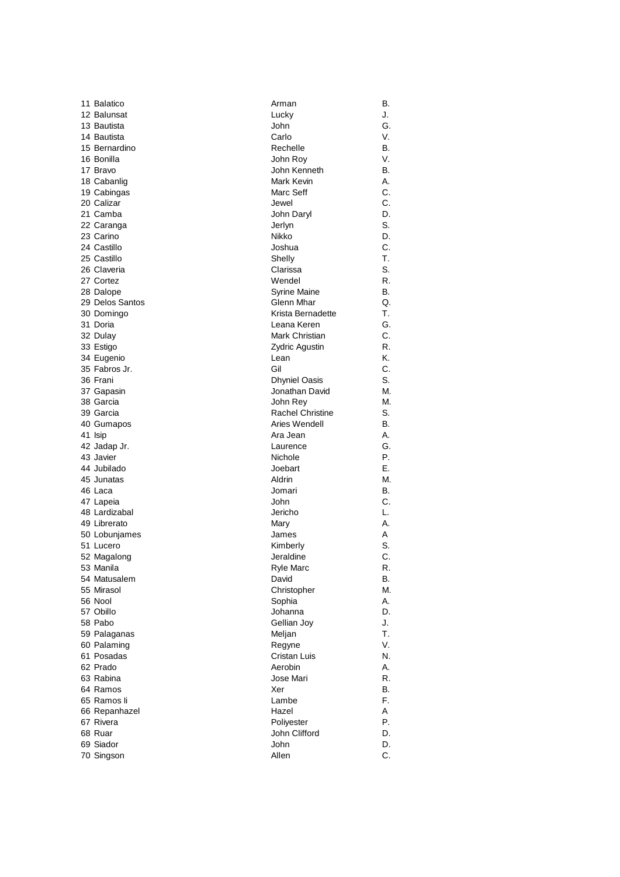| 11 Balatico     | Arman                   | В. |
|-----------------|-------------------------|----|
| 12 Balunsat     | Lucky                   | J. |
| 13 Bautista     | John                    | G. |
| 14 Bautista     | Carlo                   | V. |
| 15 Bernardino   | Rechelle                | В. |
| 16 Bonilla      | John Roy                | V. |
| 17 Bravo        | John Kenneth            | В. |
| 18 Cabanlig     | Mark Kevin              | Α. |
| 19 Cabingas     | Marc Seff               | C. |
| 20 Calizar      | Jewel                   | C. |
| 21 Camba        | John Daryl              | D. |
| 22 Caranga      | Jerlyn                  | S. |
| 23 Carino       | Nikko                   | D. |
| 24 Castillo     | Joshua                  | С. |
| 25 Castillo     | Shelly                  | Τ. |
|                 |                         |    |
| 26 Claveria     | Clarissa                | S. |
| 27 Cortez       | Wendel                  | R. |
| 28 Dalope       | Syrine Maine            | В. |
| 29 Delos Santos | Glenn Mhar              | Q. |
| 30 Domingo      | Krista Bernadette       | Т. |
| 31 Doria        | Leana Keren             | G. |
| 32 Dulay        | Mark Christian          | С. |
| 33 Estigo       | <b>Zydric Agustin</b>   | R. |
| 34 Eugenio      | Lean                    | Κ. |
| 35 Fabros Jr.   | Gil                     | С. |
| 36 Frani        | <b>Dhyniel Oasis</b>    | S. |
| 37 Gapasin      | Jonathan David          | М. |
| 38 Garcia       | John Rey                | M. |
| 39 Garcia       | <b>Rachel Christine</b> | S. |
| 40 Gumapos      | Aries Wendell           | В. |
| 41 Isip         | Ara Jean                | Α. |
| 42 Jadap Jr.    | Laurence                | G. |
| 43 Javier       | Nichole                 | Ρ. |
| 44 Jubilado     | Joebart                 | Е. |
| 45 Junatas      | Aldrin                  | M. |
| 46 Laca         | Jomari                  | В. |
| 47 Lapeia       | John                    | С. |
| 48 Lardizabal   | Jericho                 | L. |
| 49 Librerato    | Mary                    | А. |
| 50 Lobunjames   | James                   | A  |
| 51 Lucero       | Kimberly                | S. |
| 52 Magalong     | Jeraldine               | С. |
| 53 Manila       | Ryle Marc               | ĸ. |
| 54 Matusalem    | David                   | В. |
| 55 Mirasol      | Christopher             | М. |
| 56 Nool         | Sophia                  | Α. |
| 57 Obillo       | Johanna                 | D. |
| 58 Pabo         | Gellian Joy             | J. |
|                 |                         | Т. |
| 59 Palaganas    | Meljan                  |    |
| 60 Palaming     | Regyne                  | V. |
| 61 Posadas      | Cristan Luis            | N. |
| 62 Prado        | Aerobin                 | А. |
| 63 Rabina       | Jose Mari               | R. |
| 64 Ramos        | Xer                     | В. |
| 65 Ramos li     | Lambe                   | F. |
| 66 Repanhazel   | Hazel                   | A  |
| 67 Rivera       | Poliyester              | Р. |
| 68 Ruar         | John Clifford           | D. |
| 69 Siador       | John                    | D. |
| 70 Singson      | Allen                   | C. |